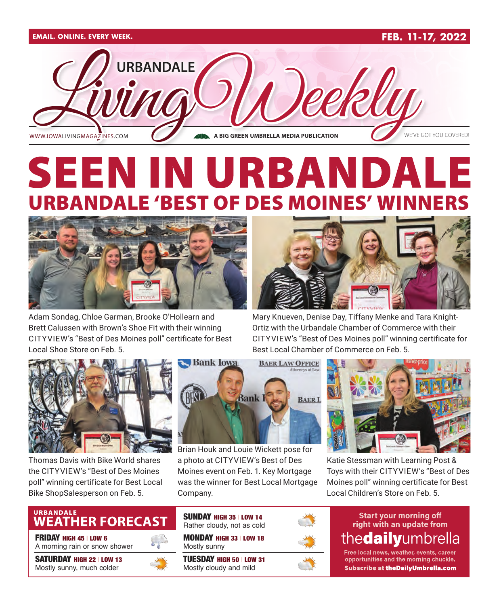

# SEEN IN URBANDAL LE 'BEST OF DES MOINES' W



Adam Sondag, Chloe Garman, Brooke O'Hollearn and Brett Calussen with Brown's Shoe Fit with their winning CITYVIEW's "Best of Des Moines poll" certificate for Best Local Shoe Store on Feb. 5.



Mary Knueven, Denise Day, Tiffany Menke and Tara Knight-Ortiz with the Urbandale Chamber of Commerce with their CITYVIEW's "Best of Des Moines poll" winning certificate for Best Local Chamber of Commerce on Feb. 5.



Thomas Davis with Bike World shares the CITYVIEW's "Best of Des Moines poll" winning certificate for Best Local Bike ShopSalesperson on Feb. 5.



Brian Houk and Louie Wickett pose for a photo at CITYVIEW's Best of Des Moines event on Feb. 1. Key Mortgage was the winner for Best Local Mortgage Company.



Katie Stessman with Learning Post & Toys with their CITYVIEW's "Best of Des Moines poll" winning certificate for Best Local Children's Store on Feb. 5.

## URBANDALE<br>WEATHER FORECAST

FRIDAY HIGH 45 | LOW 6

A morning rain or snow shower

SATURDAY HIGH 22 | LOW 13 Mostly sunny, much colder



MONDAY HIGH 33 | LOW 18 Mostly sunny TUESDAY HIGH 50 | LOW 31 Mostly cloudy and mild SUNDAY HIGH 35 | LOW 14 Rather cloudy, not as cold

**Start your morning off** right with an update from thedailyumbrella

Free local news, weather, events, career opportunities and the morning chuckle. **Subscribe at theDailyUmbrella.com**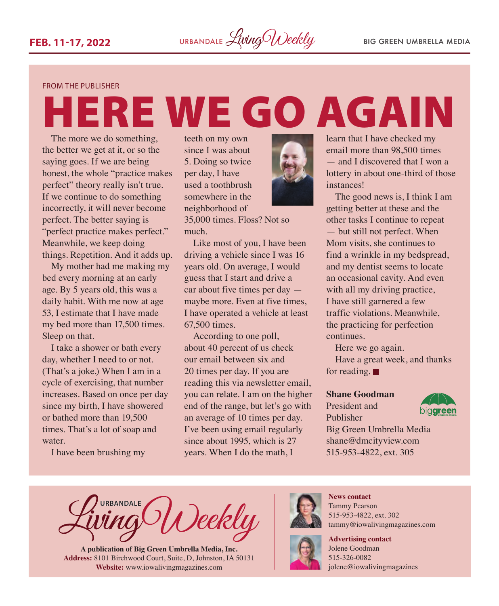#### FROM THE PUBLISHER

# ERE WE GO AGAIN

The more we do something, the better we get at it, or so the saying goes. If we are being honest, the whole "practice makes perfect" theory really isn't true. If we continue to do something incorrectly, it will never become perfect. The better saying is "perfect practice makes perfect." Meanwhile, we keep doing things. Repetition. And it adds up.

My mother had me making my bed every morning at an early age. By 5 years old, this was a daily habit. With me now at age 53, I estimate that I have made my bed more than 17,500 times. Sleep on that.

I take a shower or bath every day, whether I need to or not. (That's a joke.) When I am in a cycle of exercising, that number increases. Based on once per day since my birth, I have showered or bathed more than 19,500 times. That's a lot of soap and water.

I have been brushing my

teeth on my own since I was about 5. Doing so twice per day, I have used a toothbrush somewhere in the neighborhood of

35,000 times. Floss? Not so much.

Like most of you, I have been driving a vehicle since I was 16 years old. On average, I would guess that I start and drive a car about five times per day maybe more. Even at five times, I have operated a vehicle at least 67,500 times.

According to one poll, about 40 percent of us check our email between six and 20 times per day. If you are reading this via newsletter email, you can relate. I am on the higher end of the range, but let's go with an average of 10 times per day. I've been using email regularly since about 1995, which is 27 years. When I do the math, I



learn that I have checked my email more than 98,500 times — and I discovered that I won a lottery in about one-third of those instances!

The good news is, I think I am getting better at these and the other tasks I continue to repeat — but still not perfect. When Mom visits, she continues to find a wrinkle in my bedspread, and my dentist seems to locate an occasional cavity. And even with all my driving practice, I have still garnered a few traffic violations. Meanwhile, the practicing for perfection continues.

Here we go again.

Have a great week, and thanks for reading.  $\blacksquare$ 

#### **Shane Goodman**

President and Publisher



Big Green Umbrella Media [shane@dmcityview.com](mailto:shane@dmcityview.com) 515-953-4822, ext. 305

**URBANDALE** Deekly

**A publication of Big Green Umbrella Media, Inc. Address:** 8101 Birchwood Court, Suite, D, Johnston, IA 50131 **Website:** [www.iowalivingmagazines.com](http://www.iowalivingmagazines.com)



**News contact** Tammy Pearson 515-953-4822, ext. 302 [tammy@iowalivingmagazines.com](mailto:tammy@iowalivingmagazines.com)

**Advertising contact** Jolene Goodman 515-326-0082 jolene@iowalivingmagazines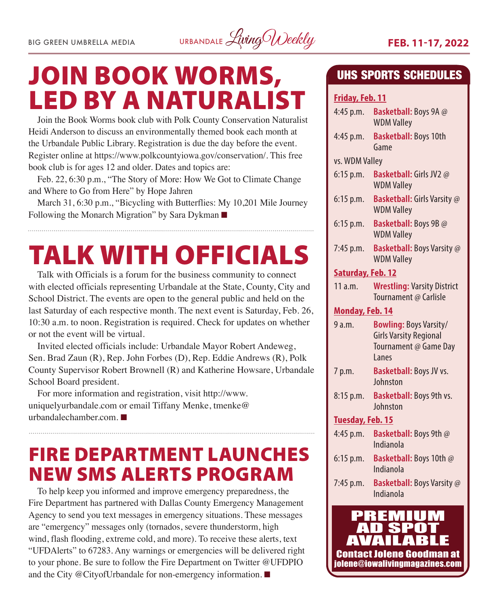

# JOIN BOOK WORMS, LED BY A NATURALIST

Join the Book Worms book club with Polk County Conservation Naturalist Heidi Anderson to discuss an environmentally themed book each month at the Urbandale Public Library. Registration is due the day before the event. Register online at [https://www.polkcountyiowa.gov/conservation/.](https://www.polkcountyiowa.gov/conservation/) This free book club is for ages 12 and older. Dates and topics are:

Feb. 22, 6:30 p.m., "The Story of More: How We Got to Climate Change and Where to Go from Here" by Hope Jahren

March 31, 6:30 p.m., "Bicycling with Butterflies: My 10,201 Mile Journey Following the Monarch Migration" by Sara Dykman  $\blacksquare$ 

# TALK WITH OFFICIALS

Talk with Officials is a forum for the business community to connect with elected officials representing Urbandale at the State, County, City and School District. The events are open to the general public and held on the last Saturday of each respective month. The next event is Saturday, Feb. 26, 10:30 a.m. to noon. Registration is required. Check for updates on whether or not the event will be virtual.

Invited elected officials include: Urbandale Mayor Robert Andeweg, Sen. Brad Zaun (R), Rep. John Forbes (D), Rep. Eddie Andrews (R), Polk County Supervisor Robert Brownell (R) and Katherine Howsare, Urbandale School Board president.

For more information and registration, visit [http://www.](http://www.uniquelyurbandale.com) [uniquelyurbandale.com](http://www.uniquelyurbandale.com) or email Tiffany Menke, [tmenke@](mailto:tmenke@urbandalechamber.com) [urbandalechamber.com](mailto:tmenke@urbandalechamber.com). $\blacksquare$ 

## FIRE DEPARTMENT LAUNCHES NEW SMS ALERTS PROGRAM

To help keep you informed and improve emergency preparedness, the Fire Department has partnered with Dallas County Emergency Management Agency to send you text messages in emergency situations. These messages are "emergency" messages only (tornados, severe thunderstorm, high wind, flash flooding, extreme cold, and more). To receive these alerts, text "UFDAlerts" to 67283. Any warnings or emergencies will be delivered right to your phone. Be sure to follow the Fire Department on Twitter @UFDPIO and the City @CityofUrbandale for non-emergency information.  $\blacksquare$ 

### UHS SPORTS SCHEDULES

#### **Friday, Feb. 11**

| 4:45 p.m.                                                             | Basketball: Boys 9A @<br><b>WDM Valley</b>                                                       |
|-----------------------------------------------------------------------|--------------------------------------------------------------------------------------------------|
| 4:45 p.m.                                                             | <b>Basketball: Boys 10th</b><br>Game                                                             |
| vs. WDM Valley                                                        |                                                                                                  |
| 6:15 p.m.                                                             | Basketball: Girls JV2 @<br><b>WDM Valley</b>                                                     |
| $6:15$ p.m.                                                           | Basketball: Girls Varsity @<br><b>WDM Valley</b>                                                 |
| 6:15 p.m.                                                             | Basketball: Boys 9B @<br><b>WDM Valley</b>                                                       |
| 7:45 p.m.                                                             | <b>Basketball:</b> Boys Varsity @<br><b>WDM Valley</b>                                           |
| Saturday, Feb. 12                                                     |                                                                                                  |
| 11a.m.                                                                | <b>Wrestling: Varsity District</b><br>Tournament @ Carlisle                                      |
| <b>Monday, Feb. 14</b>                                                |                                                                                                  |
| 9a.m.                                                                 | <b>Bowling: Boys Varsity/</b><br><b>Girls Varsity Regional</b><br>Tournament @ Game Day<br>Lanes |
| 7 p.m.                                                                | Basketball: Boys JV vs.<br>Johnston                                                              |
| 8:15 p.m.                                                             | Basketball: Boys 9th vs.<br>Johnston                                                             |
| Tuesday, Feb. 15                                                      |                                                                                                  |
| $4:45$ p.m.                                                           | Basketball: Boys 9th @<br>Indianola                                                              |
| 6:15 p.m.                                                             | Basketball: Boys 10th @<br>Indianola                                                             |
| 7:45 p.m.                                                             | <b>Basketball:</b> Boys Varsity @<br>Indianola                                                   |
| 88 E<br>IS<br>7 A<br>$\pmb{\Lambda}$<br>B<br>Jolana Coodmo<br>Pontaet |                                                                                                  |

Contact Jolene Goodman at [jolene@iowalivingmagazines.com](mailto:jolene@iowalivingmagazines.com)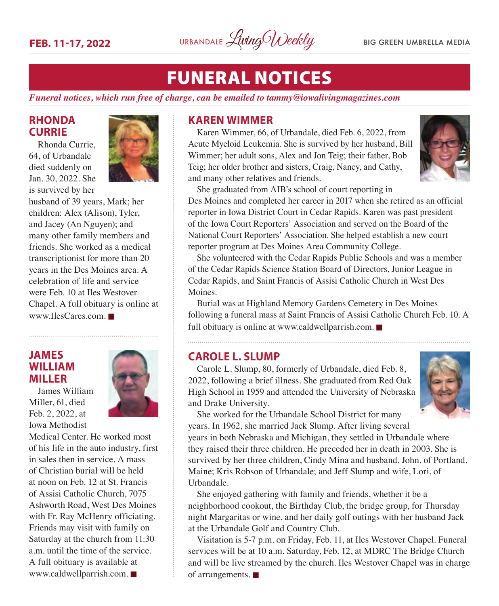

## FUNERAL NOTICES

*Funeral notices, which run free of charge, can be emailed to [tammy@iowalivingmagazines.com](mailto:tammy@iowalivingmagazines.com)*

#### **RHONDA CURRIE**

Rhonda Currie, 64, of Urbandale died suddenly on Jan. 30, 2022. She is survived by her



husband of 39 years, Mark; her children: Alex (Alison), Tyler, and Jacey (An Nguyen); and many other family members and friends. She worked as a medical transcriptionist for more than 20 years in the Des Moines area. A celebration of life and service were Feb. 10 at Iles Westover Chapel. A full obituary is online at [www.IlesCares.com.](http://www.IlesCares.com) $\blacksquare$ 

#### **JAMES WILLIAM MILLER**

James William Miller, 61, died Feb. 2, 2022, at Iowa Methodist



Medical Center. He worked most of his life in the auto industry, first in sales then in service. A mass of Christian burial will be held at noon on Feb. 12 at St. Francis of Assisi Catholic Church, 7075 Ashworth Road, West Des Moines with Fr. Ray McHenry officiating. Friends may visit with family on Saturday at the church from 11:30 a.m. until the time of the service. A full obituary is available at  $www.caldwell parrish.com.$ 

#### **KAREN WIMMER**

Karen Wimmer, 66, of Urbandale, died Feb. 6, 2022, from Acute Myeloid Leukemia. She is survived by her husband, Bill Wimmer; her adult sons, Alex and Jon Teig; their father, Bob Teig; her older brother and sisters, Craig, Nancy, and Cathy, and many other relatives and friends.



She graduated from AIB's school of court reporting in Des Moines and completed her career in 2017 when she retired as an official reporter in Iowa District Court in Cedar Rapids. Karen was past president of the Iowa Court Reporters' Association and served on the Board of the National Court Reporters' Association. She helped establish a new court reporter program at Des Moines Area Community College.

She volunteered with the Cedar Rapids Public Schools and was a member of the Cedar Rapids Science Station Board of Directors, Junior League in Cedar Rapids, and Saint Francis of Assisi Catholic Church in West Des Moines.

Burial was at Highland Memory Gardens Cemetery in Des Moines following a funeral mass at Saint Francis of Assisi Catholic Church Feb. 10. A full obituary is online at [www.caldwellparrish.com.](http://www.caldwellparrish.com)  $\blacksquare$ 

#### **CAROLE L. SLUMP**

Carole L. Slump, 80, formerly of Urbandale, died Feb. 8, 2022, following a brief illness. She graduated from Red Oak High School in 1959 and attended the University of Nebraska and Drake University.



She worked for the Urbandale School District for many years. In 1962, she married Jack Slump. After living several

years in both Nebraska and Michigan, they settled in Urbandale where they raised their three children. He preceded her in death in 2003. She is survived by her three children, Cindy Mina and husband, John, of Portland, Maine; Kris Robson of Urbandale; and Jeff Slump and wife, Lori, of Urbandale.

She enjoyed gathering with family and friends, whether it be a neighborhood cookout, the Birthday Club, the bridge group, for Thursday night Margaritas or wine, and her daily golf outings with her husband Jack at the Urbandale Golf and Country Club.

Visitation is 5-7 p.m. on Friday, Feb. 11, at Iles Westover Chapel. Funeral services will be at 10 a.m. Saturday, Feb. 12, at MDRC The Bridge Church and will be live streamed by the church. Iles Westover Chapel was in charge of arrangements.  $\blacksquare$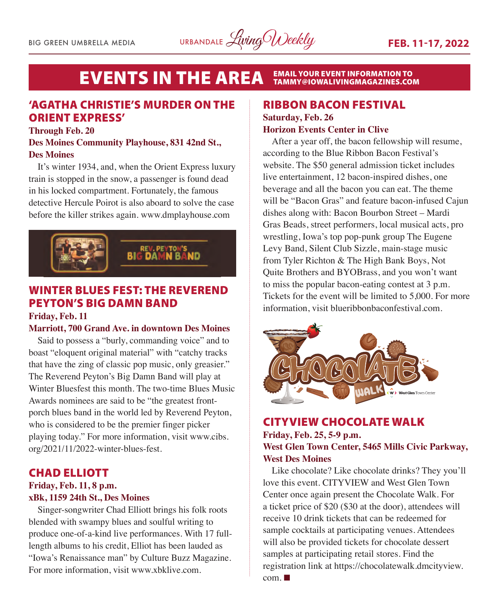#### **EVENTS IN THE AREA EMAIL YOUR EVENT INFORMATION TO<br>TAMMY@IOWALIVINGMAGAZINES.COM**

### 'AGATHA CHRISTIE'S MURDER ON THE ORIENT EXPRESS'

#### **Through Feb. 20**

#### **Des Moines Community Playhouse, 831 42nd St., Des Moines**

It's winter 1934, and, when the Orient Express luxury train is stopped in the snow, a passenger is found dead in his locked compartment. Fortunately, the famous detective Hercule Poirot is also aboard to solve the case before the killer strikes again. www.dmplayhouse.com



### WINTER BLUES FEST: THE REVEREND PEYTON'S BIG DAMN BAND

#### **Friday, Feb. 11**

#### **Marriott, 700 Grand Ave. in downtown Des Moines**

Said to possess a "burly, commanding voice" and to boast "eloquent original material" with "catchy tracks that have the zing of classic pop music, only greasier." The Reverend Peyton's Big Damn Band will play at Winter Bluesfest this month. The two-time Blues Music Awards nominees are said to be "the greatest frontporch blues band in the world led by Reverend Peyton, who is considered to be the premier finger picker playing today." For more information, visit www.cibs. org/2021/11/2022-winter-blues-fest.

#### CHAD ELLIOTT

#### **Friday, Feb. 11, 8 p.m. xBk, 1159 24th St., Des Moines**

Singer-songwriter Chad Elliott brings his folk roots blended with swampy blues and soulful writing to produce one-of-a-kind live performances. With 17 fulllength albums to his credit, Elliot has been lauded as "Iowa's Renaissance man" by Culture Buzz Magazine. For more information, visit www.xbklive.com.

#### RIBBON BACON FESTIVAL

#### **Saturday, Feb. 26 Horizon Events Center in Clive**

After a year off, the bacon fellowship will resume, according to the Blue Ribbon Bacon Festival's website. The \$50 general admission ticket includes live entertainment, 12 bacon-inspired dishes, one beverage and all the bacon you can eat. The theme will be "Bacon Gras" and feature bacon-infused Cajun dishes along with: Bacon Bourbon Street – Mardi Gras Beads, street performers, local musical acts, pro wrestling, Iowa's top pop-punk group The Eugene Levy Band, Silent Club Sizzle, main-stage music from Tyler Richton & The High Bank Boys, Not Quite Brothers and BYOBrass, and you won't want to miss the popular bacon-eating contest at 3 p.m. Tickets for the event will be limited to 5,000. For more information, visit blueribbonbaconfestival.com.



#### CITYVIEW CHOCOLATE WALK **Friday, Feb. 25, 5-9 p.m. West Glen Town Center, 5465 Mills Civic Parkway, West Des Moines**

Like chocolate? Like chocolate drinks? They you'll love this event. CITYVIEW and West Glen Town Center once again present the Chocolate Walk. For a ticket price of \$20 (\$30 at the door), attendees will receive 10 drink tickets that can be redeemed for sample cocktails at participating venues. Attendees will also be provided tickets for chocolate dessert samples at participating retail stores. Find the registration link at https://chocolatewalk.dmcityview.  $com. \blacksquare$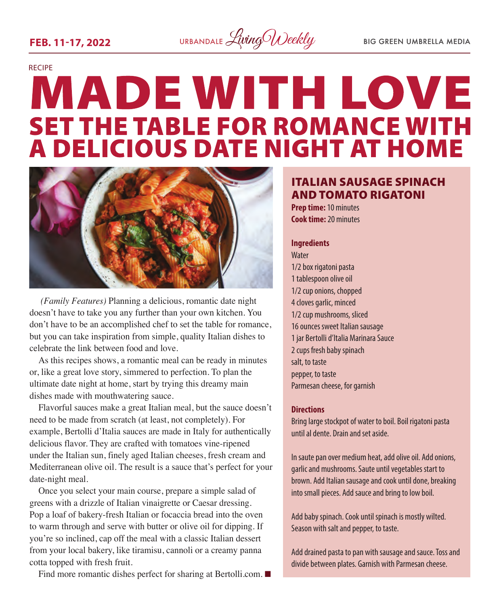

# RECIPE **MADE WITH LOVE SET THE TABLE FOR ROMANCE WITH<br>A DELICIOUS DATE NIGHT AT HOME**



 *(Family Features)* Planning a delicious, romantic date night doesn't have to take you any further than your own kitchen. You don't have to be an accomplished chef to set the table for romance, but you can take inspiration from simple, quality Italian dishes to celebrate the link between food and love.

As this recipes shows, a romantic meal can be ready in minutes or, like a great love story, simmered to perfection. To plan the ultimate date night at home, start by trying this dreamy main dishes made with mouthwatering sauce.

Flavorful sauces make a great Italian meal, but the sauce doesn't need to be made from scratch (at least, not completely). For example, Bertolli d'Italia sauces are made in Italy for authentically delicious flavor. They are crafted with tomatoes vine-ripened under the Italian sun, finely aged Italian cheeses, fresh cream and Mediterranean olive oil. The result is a sauce that's perfect for your date-night meal.

Once you select your main course, prepare a simple salad of greens with a drizzle of Italian vinaigrette or Caesar dressing. Pop a loaf of bakery-fresh Italian or focaccia bread into the oven to warm through and serve with butter or olive oil for dipping. If you're so inclined, cap off the meal with a classic Italian dessert from your local bakery, like tiramisu, cannoli or a creamy panna cotta topped with fresh fruit.

Find more romantic dishes perfect for sharing at [Bertolli.com](http://Bertolli.com).  $\blacksquare$ 

### ITALIAN SAUSAGE SPINACH AND TOMATO RIGATONI

**Prep time:** 10 minutes **Cook time:** 20 minutes

#### **Ingredients**

**Water** 1/2 box rigatoni pasta 1 tablespoon olive oil 1/2 cup onions, chopped 4 cloves garlic, minced 1/2 cup mushrooms, sliced 16 ounces sweet Italian sausage 1 jar Bertolli d'Italia Marinara Sauce 2 cups fresh baby spinach salt, to taste pepper, to taste Parmesan cheese, for garnish

#### **Directions**

Bring large stockpot of water to boil. Boil rigatoni pasta until al dente. Drain and set aside.

In saute pan over medium heat, add olive oil. Add onions, garlic and mushrooms. Saute until vegetables start to brown. Add Italian sausage and cook until done, breaking into small pieces. Add sauce and bring to low boil.

Add baby spinach. Cook until spinach is mostly wilted. Season with salt and pepper, to taste.

Add drained pasta to pan with sausage and sauce. Toss and divide between plates. Garnish with Parmesan cheese.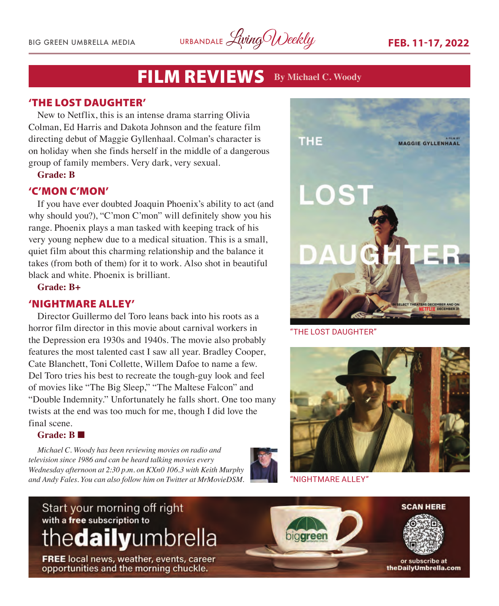BIG GREEN UMBRELLA MEDIA URBANDALE *Living Weekly* FEB. 11-17, 2022

## FILM REVIEWS **By Michael C. Woody**

#### 'THE LOST DAUGHTER'

New to Netflix, this is an intense drama starring Olivia Colman, Ed Harris and Dakota Johnson and the feature film directing debut of Maggie Gyllenhaal. Colman's character is on holiday when she finds herself in the middle of a dangerous group of family members. Very dark, very sexual.

#### **Grade: B**

#### 'C'MON C'MON'

If you have ever doubted Joaquin Phoenix's ability to act (and why should you?), "C'mon C'mon" will definitely show you his range. Phoenix plays a man tasked with keeping track of his very young nephew due to a medical situation. This is a small, quiet film about this charming relationship and the balance it takes (from both of them) for it to work. Also shot in beautiful black and white. Phoenix is brilliant.

**Grade: B+**

#### 'NIGHTMARE ALLEY'

Director Guillermo del Toro leans back into his roots as a horror film director in this movie about carnival workers in the Depression era 1930s and 1940s. The movie also probably features the most talented cast I saw all year. Bradley Cooper, Cate Blanchett, Toni Collette, Willem Dafoe to name a few. Del Toro tries his best to recreate the tough-guy look and feel of movies like "The Big Sleep," "The Maltese Falcon" and "Double Indemnity." Unfortunately he falls short. One too many twists at the end was too much for me, though I did love the final scene.

#### Grade: R

*Michael C. Woody has been reviewing movies on radio and television since 1986 and can be heard talking movies every Wednesday afternoon at 2:30 p.m. on KXn0 106.3 with Keith Murphy and Andy Fales. You can also follow him on Twitter at MrMovieDSM.* 





"THE LOST DAUGHTER"



"NIGHTMARE ALLEY"

## Start your morning off right with a free subscription to thedailyumbrella

**FREE** local news, weather, events, career opportunities and the morning chuckle.